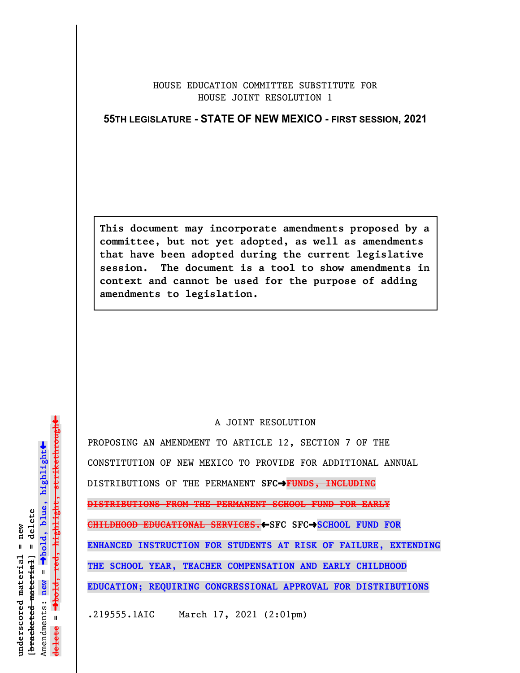## HOUSE EDUCATION COMMITTEE SUBSTITUTE FOR HOUSE JOINT RESOLUTION 1

## **55TH LEGISLATURE - STATE OF NEW MEXICO - FIRST SESSION, 2021**

**This document may incorporate amendments proposed by a committee, but not yet adopted, as well as amendments that have been adopted during the current legislative session. The document is a tool to show amendments in context and cannot be used for the purpose of adding amendments to legislation.**

## A JOINT RESOLUTION

PROPOSING AN AMENDMENT TO ARTICLE 12, SECTION 7 OF THE CONSTITUTION OF NEW MEXICO TO PROVIDE FOR ADDITIONAL ANNUAL DISTRIBUTIONS OF THE PERMANENT SFC<sup>+</sup>FUNDS, INCLUDING **DISTRIBUTIONS FROM THE PERMANENT SCHOOL FUND FOR EARLY CHILDHOOD EDUCATIONAL SERVICES.**»**SFC SFC**º**SCHOOL FUND FOR ENHANCED INSTRUCTION FOR STUDENTS AT RISK OF FAILURE, EXTENDING THE SCHOOL YEAR, TEACHER COMPENSATION AND EARLY CHILDHOOD EDUCATION; REQUIRING CONGRESSIONAL APPROVAL FOR DISTRIBUTIONS**

.219555.1AIC March 17, 2021 (2:01pm)

 $\ddag$ º**bold, red, highlight, strikethrough**  $\ddot{\bullet}$ º**bold, blue, highlight**  $b$ racketed material] = delete **[bracketed material] = delete** inderscored material = new **underscored material = new** Amendments: **new** =  $\mathbf{I}$ **delete =** lelete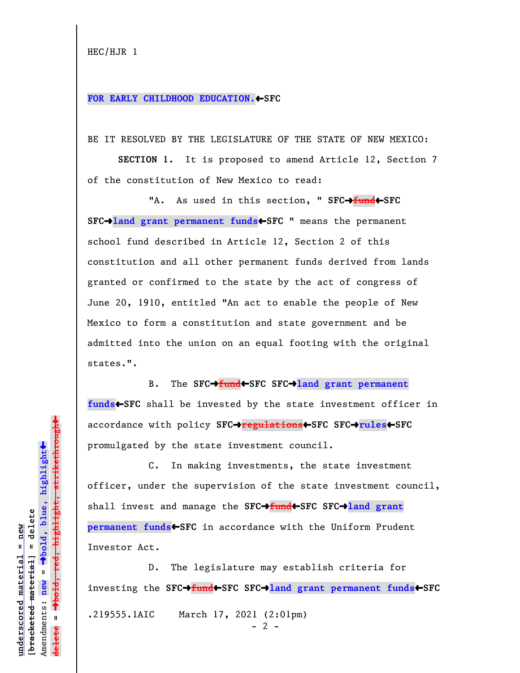```
HEC/HJR 1
```
## FOR EARLY CHILDHOOD EDUCATION. SFC

BE IT RESOLVED BY THE LEGISLATURE OF THE STATE OF NEW MEXICO:

**SECTION 1.** It is proposed to amend Article 12, Section 7 of the constitution of New Mexico to read:

"A. As used in this section, " SFC $\rightarrow$ fund $\leftarrow$ SFC **SFC**º**land grant permanent funds**»**SFC** " means the permanent school fund described in Article 12, Section 2 of this constitution and all other permanent funds derived from lands granted or confirmed to the state by the act of congress of June 20, 1910, entitled "An act to enable the people of New Mexico to form a constitution and state government and be admitted into the union on an equal footing with the original states.".

B. The **SFC**º**fund**»**SFC SFC**º**land grant permanent funds**»**SFC** shall be invested by the state investment officer in accordance with policy **SFC**º**regulations**»**SFC SFC**º**rules**»**SFC** promulgated by the state investment council.

C. In making investments, the state investment officer, under the supervision of the state investment council, shall invest and manage the **SFC**º**fund**»**SFC SFC**º**land grant permanent funds**»**SFC** in accordance with the Uniform Prudent Investor Act.

D. The legislature may establish criteria for investing the **SFC**º**fund**»**SFC SFC**º**land grant permanent funds**»**SFC** .219555.1AIC March 17, 2021 (2:01pm)  $- 2 -$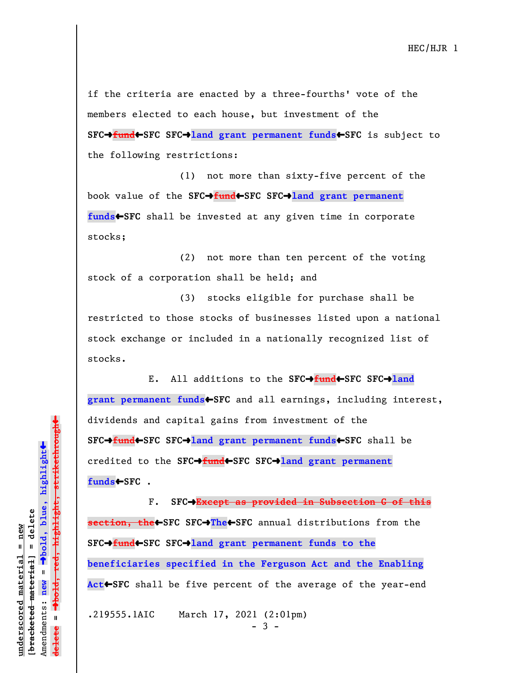if the criteria are enacted by a three-fourths' vote of the members elected to each house, but investment of the **SFC**º**fund**»**SFC SFC**º**land grant permanent funds**»**SFC** is subject to the following restrictions:

(1) not more than sixty-five percent of the book value of the **SFC**º**fund**»**SFC SFC**º**land grant permanent funds**»**SFC** shall be invested at any given time in corporate stocks;

(2) not more than ten percent of the voting stock of a corporation shall be held; and

(3) stocks eligible for purchase shall be restricted to those stocks of businesses listed upon a national stock exchange or included in a nationally recognized list of stocks.

E. All additions to the **SFC**º**fund**»**SFC SFC**º**land** grant permanent funds<sup>+</sup>SFC and all earnings, including interest, dividends and capital gains from investment of the **SFC**º**fund**»**SFC SFC**º**land grant permanent funds**»**SFC** shall be credited to the **SFC**º**fund**»**SFC SFC**º**land grant permanent funds**»**SFC** .

F. **SFC**º**Except as provided in Subsection G of this section, the**»**SFC SFC**º**The**»**SFC** annual distributions from the **SFC**º**fund**»**SFC SFC**º**land grant permanent funds to the beneficiaries specified in the Ferguson Act and the Enabling Act**»**SFC** shall be five percent of the average of the year-end

.219555.1AIC March 17, 2021 (2:01pm)

- 3 -

 $\ddag$ º**bold, red, highlight, strikethrough**  $\ddot{\bullet}$ º**bold, blue, highlight** bracketed material] = delete **[bracketed material] = delete** inderscored material = new **underscored material = new** Amendments: **new** =  $\mathbf{I}$ Amendments: new **delete =**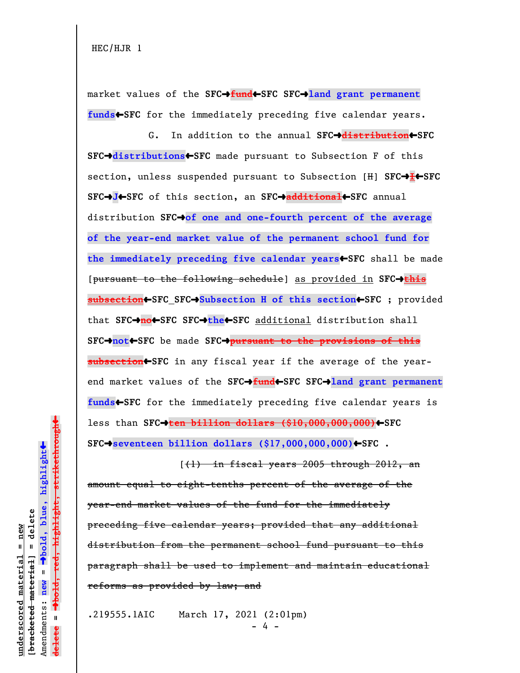market values of the **SFC**º**fund**»**SFC SFC**º**land grant permanent** funds<**SFC** for the immediately preceding five calendar years.

G. In addition to the annual **SFC**º**distribution**»**SFC SFC**º**distributions**»**SFC** made pursuant to Subsection F of this section, unless suspended pursuant to Subsection [H] **SFC**º**I**»**SFC SFC**º**J**»**SFC** of this section, an **SFC**º**additional**»**SFC** annual distribution **SFC**º**of one and one-fourth percent of the average of the year-end market value of the permanent school fund for the immediately preceding five calendar years**»**SFC** shall be made [pursuant to the following schedule] as provided in **SFC**º**this subsection**»**SFC SFC**º**Subsection H of this section**»**SFC** ; provided that **SFC**º**no**»**SFC SFC**º**the**»**SFC** additional distribution shall **SFC**º**not**»**SFC** be made **SFC**º**pursuant to the provisions of this subsection**»**SFC** in any fiscal year if the average of the yearend market values of the SFC→fund←SFC SFC→land grant permanent **funds**»**SFC** for the immediately preceding five calendar years is less than **SFC**º**ten billion dollars (\$10,000,000,000)**»**SFC SFC**º**seventeen billion dollars (\$17,000,000,000)**»**SFC** .

 $(1)$  in fiscal years 2005 through 2012, an amount equal to eight-tenths percent of the average of the year-end market values of the fund for the immediately preceding five calendar years; provided that any additional distribution from the permanent school fund pursuant to this paragraph shall be used to implement and maintain educational reforms as provided by law; and

.219555.1AIC March 17, 2021 (2:01pm) - 4 -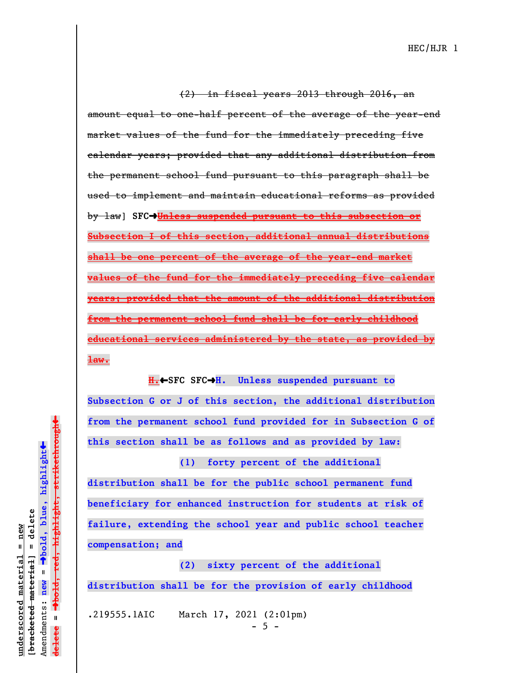HEC/HJR 1

(2) in fiscal years 2013 through 2016, an amount equal to one-half percent of the average of the year-end market values of the fund for the immediately preceding five calendar years; provided that any additional distribution from the permanent school fund pursuant to this paragraph shall be used to implement and maintain educational reforms as provided by law] **SFC**º**Unless suspended pursuant to this subsection or Subsection I of this section, additional annual distributions shall be one percent of the average of the year-end market values of the fund for the immediately preceding five calendar years; provided that the amount of the additional distribution from the permanent school fund shall be for early childhood educational services administered by the state, as provided by law.**

**H.**»**SFC SFC**º**H. Unless suspended pursuant to Subsection G or J of this section, the additional distribution from the permanent school fund provided for in Subsection G of this section shall be as follows and as provided by law:**

**(1) forty percent of the additional distribution shall be for the public school permanent fund beneficiary for enhanced instruction for students at risk of failure, extending the school year and public school teacher compensation; and**

**(2) sixty percent of the additional distribution shall be for the provision of early childhood**

.219555.1AIC March 17, 2021 (2:01pm)  $- 5 -$ 

 $\ddag$